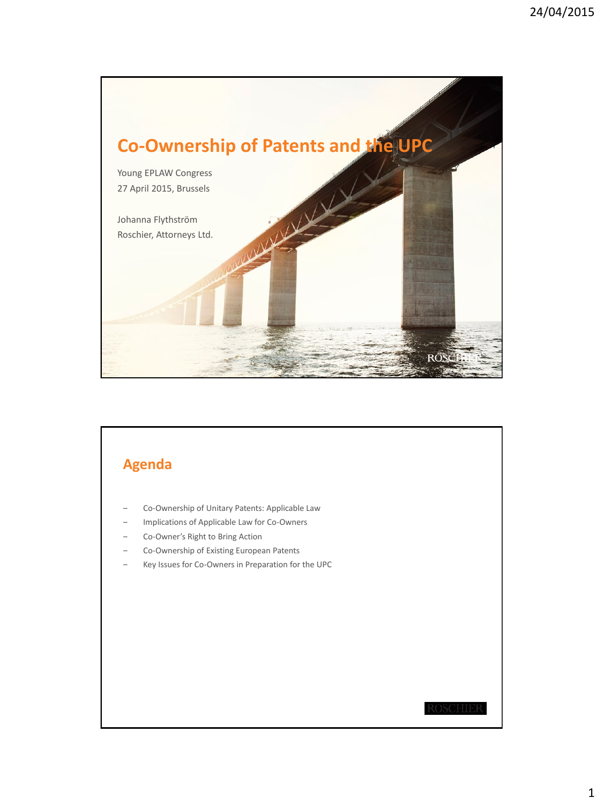

## **Agenda**

- ‒ Co-Ownership of Unitary Patents: Applicable Law
- ‒ Implications of Applicable Law for Co-Owners
- ‒ Co-Owner's Right to Bring Action
- ‒ Co-Ownership of Existing European Patents
- ‒ Key Issues for Co-Owners in Preparation for the UPC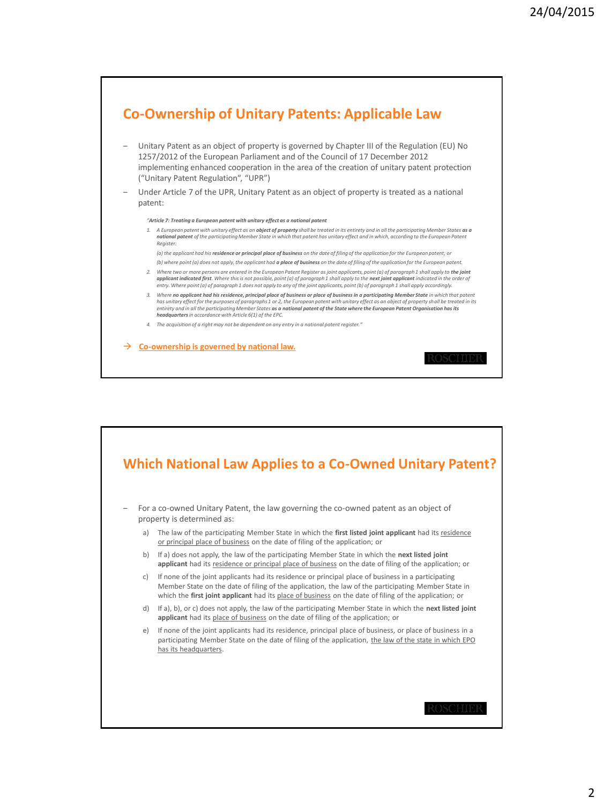

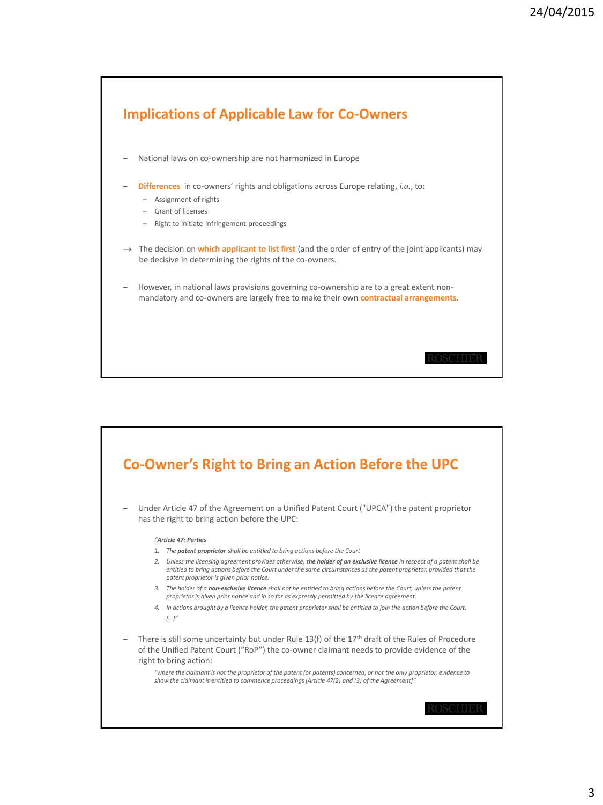

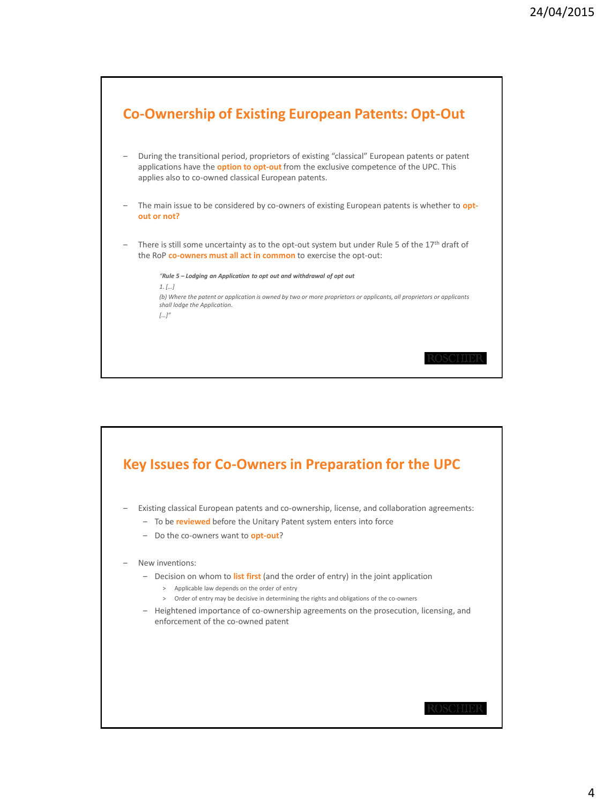